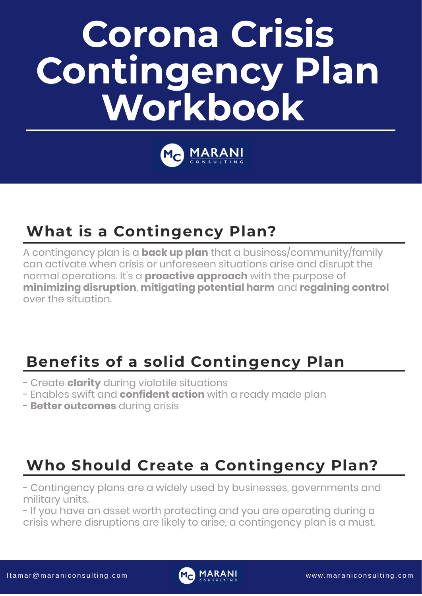# **Corona Crisis Contingency Plan Workbook**



## **Benefits of a solid Contingency Plan**

- Create **clarity** during violatile situations
- Enables swift and **confident action** with a ready made plan
- **Better outcomes** during crisis

## **What is a Contingency Plan?**

A contingency plan is a **back up plan** that a business/community/family can activate when crisis or unforeseen situations arise and disrupt the normal operations. It' s a **proactive approach** with the purpose of **minimizing disruption**, **mitigating potential harm** and **regaining control** over the situation.

### **Who Should Create a Contingency Plan?**

- Contingency plans are a widely used by businesses, governments and military units.
- If you have an asset worth protecting and you are operating during a crisis where disruptions are likely to arise, a contingency plan is a must.

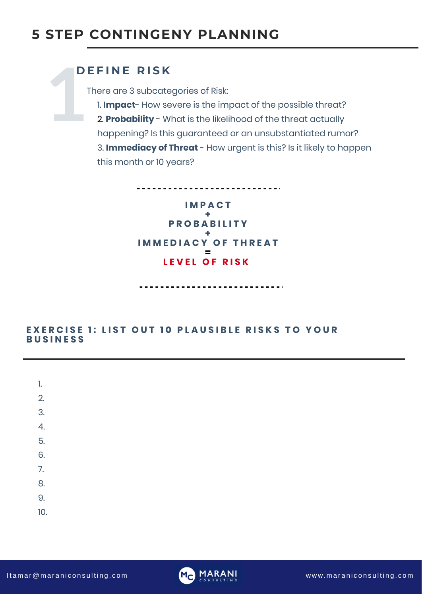# **1 D E F I N E R I S K**

There are 3 subcategories of Risk:

1. **Impact**- How severe is the impact of the possible threat?

2. **Probability** - What is the likelihood of the threat actually happening? Is this guaranteed or an unsubstantiated rumor? 3. **Immediacy of Threat** - How urgent is this? Is it likely to happen this month or 10 years?

**EXERCISE 1: LIST OUT 10 PLAUSIBLE RISKS TO YOUR B U S I N E S S**



| <br> -         |  |
|----------------|--|
| $\hat{C}$<br>Ξ |  |
|                |  |

3.

| 4.  |  |  |  |  |
|-----|--|--|--|--|
| 5.  |  |  |  |  |
| 6.  |  |  |  |  |
| 7.  |  |  |  |  |
| 8.  |  |  |  |  |
| 9.  |  |  |  |  |
| 10. |  |  |  |  |

I t a m a r @ m a r a ni c on sulting.com M M M M M M M M M W w w. m a r ani c on sulting.com



### **5 STEP CONTINGENY PLANNING**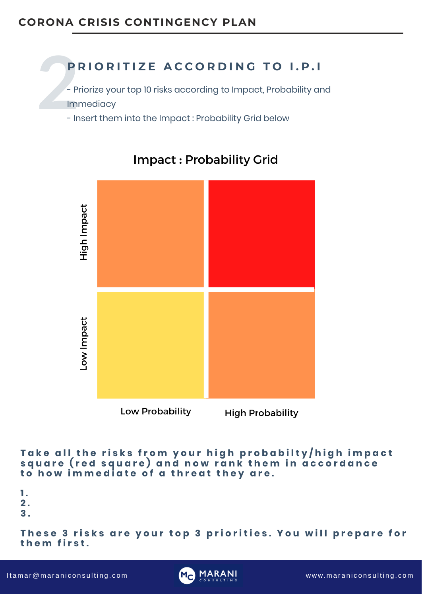### These 3 risks are your top 3 priorities. You will prepare for **t h e m f i r s t .**

I tamar@maraniconsulting.com www.maraniconsulting.com



**1 . 2 . 3 .**

### PRIORITIZE ACCORDING TO I.P.I

- **2**<br>2<br>- 2<br>- 1m<br>- 1r - Priorize your top 10 risks according to Impact, Probability and Immediacy
	- Insert them into the Impact : Probability Grid below

### Impact: Probability Grid



# Low Impact

# **Migh Impac**



Low Probability

**High Probability** 

Take all the risks from your high probabilty/high impact square (red square) and now rank them in accordance to how immediate of a threat they are.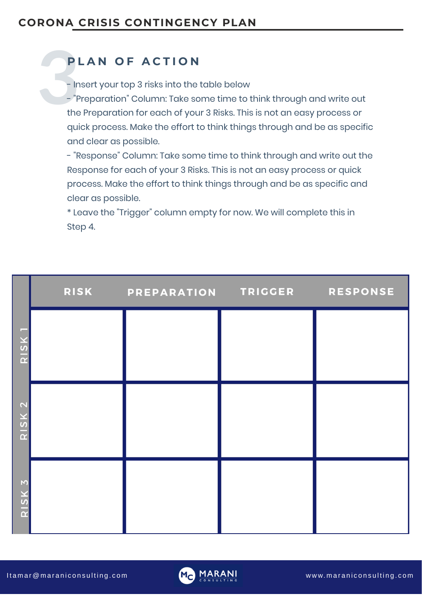### **P L A N O F A C T I O N**

- Insert your top 3 risks into the table below
- **2**<br>- In<br>the<br>the - "Preparation " Column: Take some time to think through and write out the Preparation for each of your 3 Risks. This is not an easy process or quick process. Make the effort to think things through and be as specific and clear as possible.
	- "Response " Column: Take some time to think through and write out the Response for each of your 3 Risks. This is not an easy process or quick process. Make the effort to think things through and be as specific and clear as possible.
	-

\* Leave the "Trigger " column empty for now. We will complete this in Step 4.

|                                        | <b>RISK</b> | PREPARATION | TRIGGER | <b>RESPONSE</b> |
|----------------------------------------|-------------|-------------|---------|-----------------|
| <b>The Company</b><br>$\mathbf \Omega$ |             |             |         |                 |
|                                        |             |             |         |                 |

| $\boldsymbol{u}$<br>$\alpha$               |  |  |
|--------------------------------------------|--|--|
| $\mathbf{N}$<br>$\overline{G}$<br>$\alpha$ |  |  |

I t a m a r@m a r a n i c o n s u l t i n g . c o m w w w. m a r a n i c o n s u l t i n g . c o m